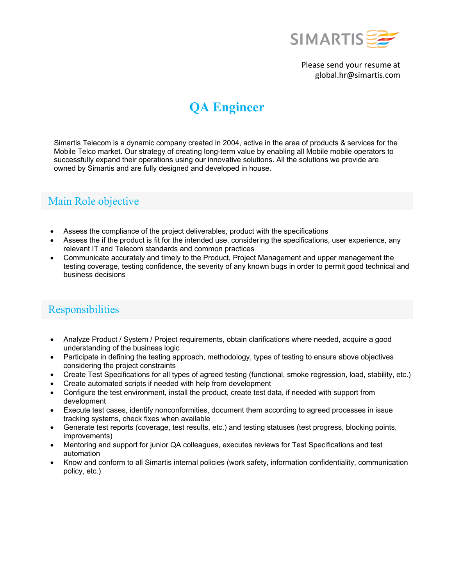

Please send your resume at global.hr@simartis.com

# **QA Engineer**

Simartis Telecom is a dynamic company created in 2004, active in the area of products & services for the Mobile Telco market. Our strategy of creating long-term value by enabling all Mobile mobile operators to successfully expand their operations using our innovative solutions. All the solutions we provide are owned by Simartis and are fully designed and developed in house.

## Main Role objective

- Assess the compliance of the project deliverables, product with the specifications
- Assess the if the product is fit for the intended use, considering the specifications, user experience, any relevant IT and Telecom standards and common practices
- Communicate accurately and timely to the Product, Project Management and upper management the testing coverage, testing confidence, the severity of any known bugs in order to permit good technical and business decisions

### **Responsibilities**

- Analyze Product / System / Project requirements, obtain clarifications where needed, acquire a good understanding of the business logic
- Participate in defining the testing approach, methodology, types of testing to ensure above objectives considering the project constraints
- Create Test Specifications for all types of agreed testing (functional, smoke regression, load, stability, etc.)
- Create automated scripts if needed with help from development
- Configure the test environment, install the product, create test data, if needed with support from development
- Execute test cases, identify nonconformities, document them according to agreed processes in issue tracking systems, check fixes when available
- Generate test reports (coverage, test results, etc.) and testing statuses (test progress, blocking points, improvements)
- Mentoring and support for junior QA colleagues, executes reviews for Test Specifications and test automation
- Know and conform to all Simartis internal policies (work safety, information confidentiality, communication policy, etc.)